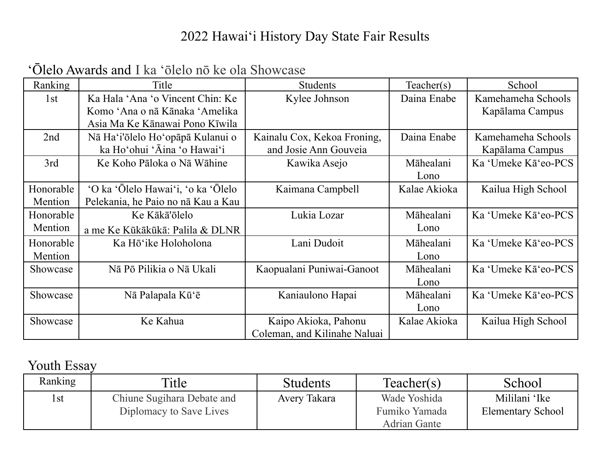#### 2022 Hawaiʻi History Day State Fair Results

| Ranking   | Title                              | <b>Students</b>              | Teacher(s)   | School              |
|-----------|------------------------------------|------------------------------|--------------|---------------------|
| 1st       | Ka Hala 'Ana 'o Vincent Chin: Ke   | Kylee Johnson                | Daina Enabe  | Kamehameha Schools  |
|           | Komo 'Ana o nā Kānaka 'Amelika     |                              |              | Kapālama Campus     |
|           | Asia Ma Ke Kānawai Pono Kīwila     |                              |              |                     |
| 2nd       | Nā Ha'i'ōlelo Ho'opāpā Kulanui o   | Kainalu Cox, Kekoa Froning,  | Daina Enabe  | Kamehameha Schools  |
|           | ka Ho'ohui 'Āina 'o Hawai'i        | and Josie Ann Gouveia        |              | Kapālama Campus     |
| 3rd       | Ke Koho Pāloka o Nā Wāhine         | Kawika Asejo                 | Māhealani    | Ka 'Umeke Kā'eo-PCS |
|           |                                    |                              | Lono         |                     |
| Honorable | 'O ka 'Ōlelo Hawai'i, 'o ka 'Ōlelo | Kaimana Campbell             | Kalae Akioka | Kailua High School  |
| Mention   | Pelekania, he Paio no nã Kau a Kau |                              |              |                     |
| Honorable | Ke Kākā'ōlelo                      | Lukia Lozar                  | Māhealani    | Ka 'Umeke Kā'eo-PCS |
| Mention   | a me Ke Kūkākūkā: Palila & DLNR    |                              | Lono         |                     |
| Honorable | Ka Hō'ike Holoholona               | Lani Dudoit                  | Māhealani    | Ka 'Umeke Kā'eo-PCS |
| Mention   |                                    |                              | Lono         |                     |
| Showcase  | Nā Pō Pilikia o Nā Ukali           | Kaopualani Puniwai-Ganoot    | Māhealani    | Ka 'Umeke Kā'eo-PCS |
|           |                                    |                              | Lono         |                     |
| Showcase  | Nā Palapala Kū'ē                   | Kaniaulono Hapai             | Māhealani    | Ka 'Umeke Kā'eo-PCS |
|           |                                    |                              | Lono         |                     |
| Showcase  | Ke Kahua                           | Kaipo Akioka, Pahonu         | Kalae Akioka | Kailua High School  |
|           |                                    | Coleman, and Kilinahe Naluai |              |                     |

### ʻŌlelo Awards and I ka ʻōlelo nō ke ola Showcase

## Youth Essay

| Ranking | Title                                                 | <b>Students</b> | Teacher(s)                                           | School                                    |
|---------|-------------------------------------------------------|-----------------|------------------------------------------------------|-------------------------------------------|
| 1st     | Chiune Sugihara Debate and<br>Diplomacy to Save Lives | Avery Takara    | Wade Yoshida<br>Fumiko Yamada<br><b>Adrian Gante</b> | Mililani 'Ike<br><b>Elementary School</b> |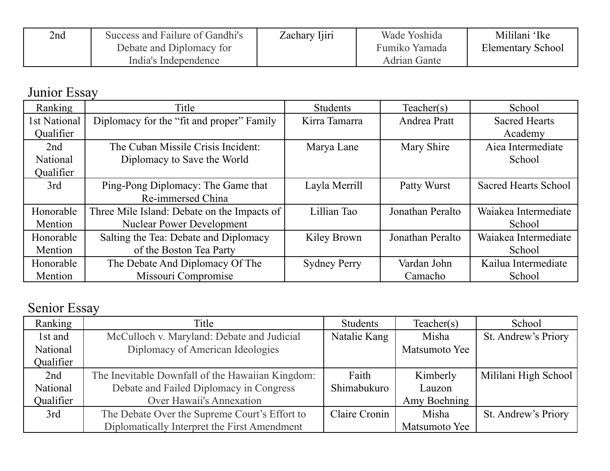| 2nd | Success and Failure of Gandhi's | Zachary Ijiri | Wade Yoshida        | Mililani 'Ike            |
|-----|---------------------------------|---------------|---------------------|--------------------------|
|     | Debate and Diplomacy for        |               | Fumiko Yamada       | <b>Elementary School</b> |
|     | India's Independence            |               | <b>Adrian Gante</b> |                          |

Junior Essay

| Ranking      | Title                                       | <b>Students</b>     | Teacher(s)       | School                      |
|--------------|---------------------------------------------|---------------------|------------------|-----------------------------|
| 1st National | Diplomacy for the "fit and proper" Family   | Kirra Tamarra       | Andrea Pratt     | <b>Sacred Hearts</b>        |
| Qualifier    |                                             |                     |                  | Academy                     |
| 2nd          | The Cuban Missile Crisis Incident:          | Marya Lane          | Mary Shire       | Aiea Intermediate           |
| National     | Diplomacy to Save the World                 |                     |                  | School                      |
| Qualifier    |                                             |                     |                  |                             |
| 3rd          | Ping-Pong Diplomacy: The Game that          | Layla Merrill       | Patty Wurst      | <b>Sacred Hearts School</b> |
|              | Re-immersed China                           |                     |                  |                             |
| Honorable    | Three Mile Island: Debate on the Impacts of | Lillian Tao         | Jonathan Peralto | Waiakea Intermediate        |
| Mention      | <b>Nuclear Power Development</b>            |                     |                  | School                      |
| Honorable    | Salting the Tea: Debate and Diplomacy       | Kiley Brown         | Jonathan Peralto | Waiakea Intermediate        |
| Mention      | of the Boston Tea Party                     |                     |                  | School                      |
| Honorable    | The Debate And Diplomacy Of The             | <b>Sydney Perry</b> | Vardan John      | Kailua Intermediate         |
| Mention      | Missouri Compromise                         |                     | Camacho          | School                      |

# Senior Essay

| Ranking   | Title                                            | <b>Students</b> | Teacher(s)    | School               |
|-----------|--------------------------------------------------|-----------------|---------------|----------------------|
| 1st and   | McCulloch v. Maryland: Debate and Judicial       | Natalie Kang    | Misha         | St. Andrew's Priory  |
| National  | Diplomacy of American Ideologies                 |                 | Matsumoto Yee |                      |
| Qualifier |                                                  |                 |               |                      |
| 2nd       | The Inevitable Downfall of the Hawaiian Kingdom: | Faith           | Kimberly      | Mililani High School |
| National  | Debate and Failed Diplomacy in Congress          | Shimabukuro     | Lauzon        |                      |
| Qualifier | <b>Over Hawaii's Annexation</b>                  |                 | Amy Boehning  |                      |
| 3rd       | The Debate Over the Supreme Court's Effort to    | Claire Cronin   | Misha         | St. Andrew's Priory  |
|           | Diplomatically Interpret the First Amendment     |                 | Matsumoto Yee |                      |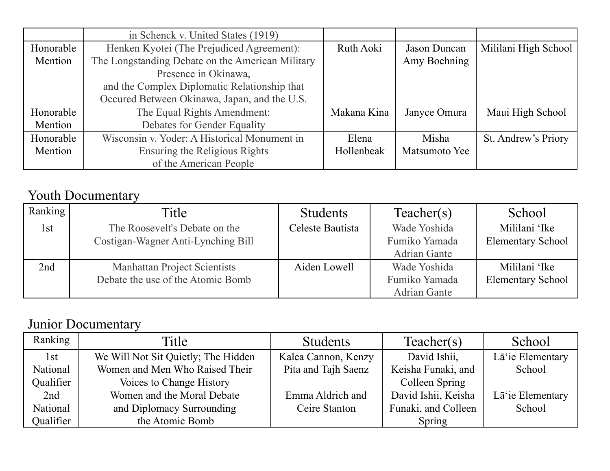|           | in Schenck v. United States (1919)               |             |               |                      |
|-----------|--------------------------------------------------|-------------|---------------|----------------------|
| Honorable | Henken Kyotei (The Prejudiced Agreement):        | Ruth Aoki   | Jason Duncan  | Mililani High School |
| Mention   | The Longstanding Debate on the American Military |             | Amy Boehning  |                      |
|           | Presence in Okinawa,                             |             |               |                      |
|           | and the Complex Diplomatic Relationship that     |             |               |                      |
|           | Occured Between Okinawa, Japan, and the U.S.     |             |               |                      |
| Honorable | The Equal Rights Amendment:                      | Makana Kina | Janyce Omura  | Maui High School     |
| Mention   | Debates for Gender Equality                      |             |               |                      |
| Honorable | Wisconsin v. Yoder: A Historical Monument in     | Elena       | Misha         | St. Andrew's Priory  |
| Mention   | Ensuring the Religious Rights                    | Hollenbeak  | Matsumoto Yee |                      |
|           | of the American People                           |             |               |                      |

### Youth Documentary

| Ranking | Title                               | <b>Students</b>  | Teacher(s)          | School                   |
|---------|-------------------------------------|------------------|---------------------|--------------------------|
| l st    | The Roosevelt's Debate on the       | Celeste Bautista | Wade Yoshida        | Mililani 'Ike            |
|         | Costigan-Wagner Anti-Lynching Bill  |                  | Fumiko Yamada       | <b>Elementary School</b> |
|         |                                     |                  | <b>Adrian Gante</b> |                          |
| 2nd     | <b>Manhattan Project Scientists</b> | Aiden Lowell     | Wade Yoshida        | Mililani 'Ike            |
|         | Debate the use of the Atomic Bomb   |                  | Fumiko Yamada       | <b>Elementary School</b> |
|         |                                     |                  | <b>Adrian Gante</b> |                          |

### Junior Documentary

| Ranking   | Title                               | <b>Students</b>     | Teacher(s)          | School           |
|-----------|-------------------------------------|---------------------|---------------------|------------------|
| 1st       | We Will Not Sit Quietly; The Hidden | Kalea Cannon, Kenzy | David Ishii,        | Lā'ie Elementary |
| National  | Women and Men Who Raised Their      | Pita and Tajh Saenz | Keisha Funaki, and  | School           |
| Qualifier | Voices to Change History            |                     | Colleen Spring      |                  |
| 2nd       | Women and the Moral Debate          | Emma Aldrich and    | David Ishii, Keisha | Lā'ie Elementary |
| National  | and Diplomacy Surrounding           | Ceire Stanton       | Funaki, and Colleen | School           |
| Qualifier | the Atomic Bomb                     |                     | Spring              |                  |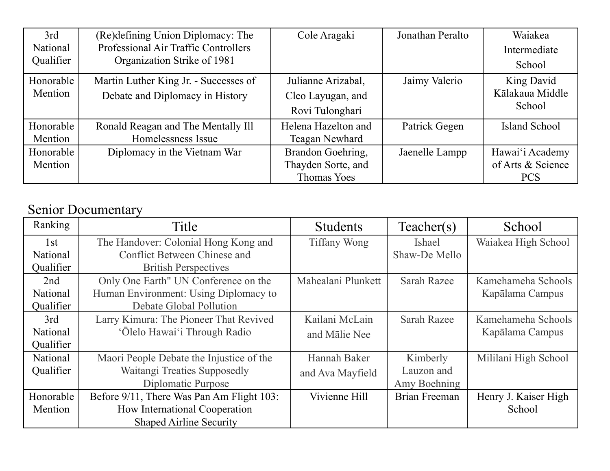| 3rd       | (Re)defining Union Diplomacy: The     | Cole Aragaki        | Jonathan Peralto | Waiakea           |
|-----------|---------------------------------------|---------------------|------------------|-------------------|
| National  | Professional Air Traffic Controllers  |                     |                  | Intermediate      |
| Qualifier | Organization Strike of 1981           |                     |                  | School            |
| Honorable | Martin Luther King Jr. - Successes of | Julianne Arizabal,  | Jaimy Valerio    | King David        |
| Mention   | Debate and Diplomacy in History       | Cleo Layugan, and   |                  | Kālakaua Middle   |
|           |                                       | Rovi Tulonghari     |                  | School            |
| Honorable | Ronald Reagan and The Mentally III    | Helena Hazelton and | Patrick Gegen    | Island School     |
| Mention   | Homelessness Issue                    | Teagan Newhard      |                  |                   |
| Honorable | Diplomacy in the Vietnam War          | Brandon Goehring,   | Jaenelle Lampp   | Hawai'i Academy   |
| Mention   |                                       | Thayden Sorte, and  |                  | of Arts & Science |
|           |                                       | <b>Thomas Yoes</b>  |                  | <b>PCS</b>        |

#### Senior Documentary

| Ranking   | Title                                     | <b>Students</b>     | Teacher(s)         | School               |
|-----------|-------------------------------------------|---------------------|--------------------|----------------------|
| 1st       | The Handover: Colonial Hong Kong and      | <b>Tiffany Wong</b> | Ishael             | Waiakea High School  |
| National  | <b>Conflict Between Chinese and</b>       |                     | Shaw-De Mello      |                      |
| Qualifier | <b>British Perspectives</b>               |                     |                    |                      |
| 2nd       | Only One Earth" UN Conference on the      | Mahealani Plunkett  | <b>Sarah Razee</b> | Kamehameha Schools   |
| National  | Human Environment: Using Diplomacy to     |                     |                    | Kapālama Campus      |
| Qualifier | Debate Global Pollution                   |                     |                    |                      |
| 3rd       | Larry Kimura: The Pioneer That Revived    | Kailani McLain      | <b>Sarah Razee</b> | Kamehameha Schools   |
| National  | 'Ōlelo Hawai'i Through Radio              | and Mālie Nee       |                    | Kapālama Campus      |
| Qualifier |                                           |                     |                    |                      |
| National  | Maori People Debate the Injustice of the  | Hannah Baker        | Kimberly           | Mililani High School |
| Qualifier | Waitangi Treaties Supposedly              | and Ava Mayfield    | Lauzon and         |                      |
|           | Diplomatic Purpose                        |                     | Amy Boehning       |                      |
| Honorable | Before 9/11, There Was Pan Am Flight 103: | Vivienne Hill       | Brian Freeman      | Henry J. Kaiser High |
| Mention   | How International Cooperation             |                     |                    | School               |
|           | <b>Shaped Airline Security</b>            |                     |                    |                      |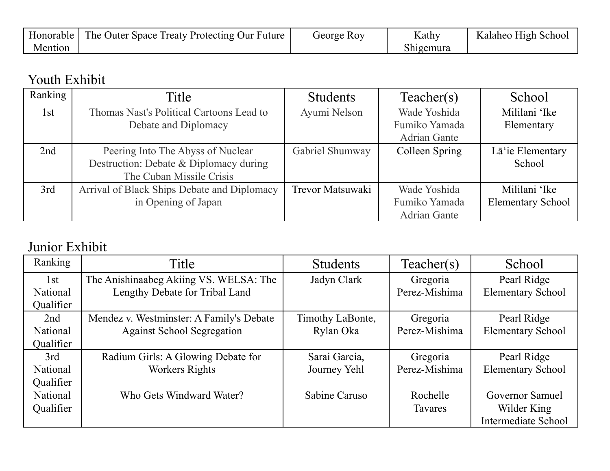| Honorable | <b>The Outer Space Treaty Protecting Our Future</b> | George Roy | Kathy     | Kalaheo High School |
|-----------|-----------------------------------------------------|------------|-----------|---------------------|
| Mention   |                                                     |            | Shigemura |                     |

#### Youth Exhibit

| Ranking | Title                                       | <b>Students</b>  | Teacher(s)          | School                   |
|---------|---------------------------------------------|------------------|---------------------|--------------------------|
| 1st     | Thomas Nast's Political Cartoons Lead to    | Ayumi Nelson     | Wade Yoshida        | Mililani 'Ike            |
|         | Debate and Diplomacy                        |                  | Fumiko Yamada       | Elementary               |
|         |                                             |                  | <b>Adrian Gante</b> |                          |
| 2nd     | Peering Into The Abyss of Nuclear           | Gabriel Shumway  | Colleen Spring      | Lā'ie Elementary         |
|         | Destruction: Debate & Diplomacy during      |                  |                     | School                   |
|         | The Cuban Missile Crisis                    |                  |                     |                          |
| 3rd     | Arrival of Black Ships Debate and Diplomacy | Trevor Matsuwaki | Wade Yoshida        | Mililani 'Ike            |
|         | in Opening of Japan                         |                  | Fumiko Yamada       | <b>Elementary School</b> |
|         |                                             |                  | <b>Adrian Gante</b> |                          |

### Junior Exhibit

| Ranking         | Title                                    | <b>Students</b>  | Teacher(s)     | School                     |
|-----------------|------------------------------------------|------------------|----------------|----------------------------|
| 1st             | The Anishinaabeg Akiing VS. WELSA: The   | Jadyn Clark      | Gregoria       | Pearl Ridge                |
| National        | Lengthy Debate for Tribal Land           |                  | Perez-Mishima  | <b>Elementary School</b>   |
| Qualifier       |                                          |                  |                |                            |
| 2nd             | Mendez v. Westminster: A Family's Debate | Timothy LaBonte, | Gregoria       | Pearl Ridge                |
| National        | <b>Against School Segregation</b>        | Rylan Oka        | Perez-Mishima  | <b>Elementary School</b>   |
| Qualifier       |                                          |                  |                |                            |
| 3rd             | Radium Girls: A Glowing Debate for       | Sarai Garcia,    | Gregoria       | Pearl Ridge                |
| <b>National</b> | Workers Rights                           | Journey Yehl     | Perez-Mishima  | <b>Elementary School</b>   |
| Qualifier       |                                          |                  |                |                            |
| National        | Who Gets Windward Water?                 | Sabine Caruso    | Rochelle       | Governor Samuel            |
| Qualifier       |                                          |                  | <b>Tavares</b> | Wilder King                |
|                 |                                          |                  |                | <b>Intermediate School</b> |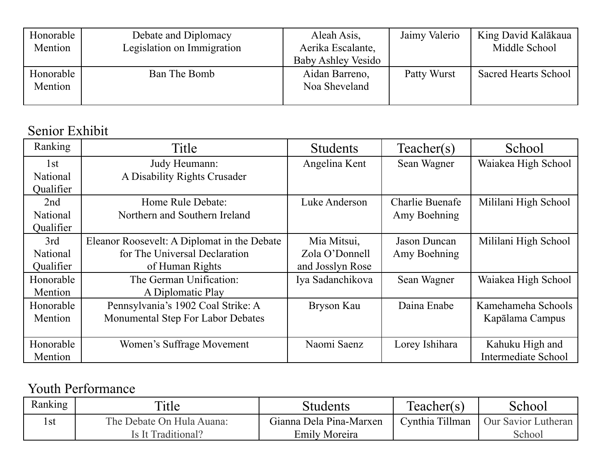| Honorable<br>Mention | Debate and Diplomacy<br>Legislation on Immigration | Aleah Asis,<br>Aerika Escalante, | Jaimy Valerio | King David Kalākaua<br>Middle School |
|----------------------|----------------------------------------------------|----------------------------------|---------------|--------------------------------------|
|                      |                                                    | <b>Baby Ashley Vesido</b>        |               |                                      |
|                      |                                                    |                                  |               |                                      |
| Honorable            | Ban The Bomb                                       | Aidan Barreno,                   | Patty Wurst   | <b>Sacred Hearts School</b>          |
| Mention              |                                                    | Noa Sheveland                    |               |                                      |
|                      |                                                    |                                  |               |                                      |

#### Senior Exhibit

| Ranking         | Title                                       | <b>Students</b>  | Teacher(s)          | School               |
|-----------------|---------------------------------------------|------------------|---------------------|----------------------|
| 1st             | Judy Heumann:                               | Angelina Kent    | Sean Wagner         | Waiakea High School  |
| <b>National</b> | A Disability Rights Crusader                |                  |                     |                      |
| Qualifier       |                                             |                  |                     |                      |
| 2nd             | Home Rule Debate:                           | Luke Anderson    | Charlie Buenafe     | Mililani High School |
| <b>National</b> | Northern and Southern Ireland               |                  | Amy Boehning        |                      |
| Qualifier       |                                             |                  |                     |                      |
| 3rd             | Eleanor Roosevelt: A Diplomat in the Debate | Mia Mitsui,      | <b>Jason Duncan</b> | Mililani High School |
| <b>National</b> | for The Universal Declaration               | Zola O'Donnell   | Amy Boehning        |                      |
| Qualifier       | of Human Rights                             | and Josslyn Rose |                     |                      |
| Honorable       | The German Unification:                     | Iya Sadanchikova | Sean Wagner         | Waiakea High School  |
| Mention         | A Diplomatic Play                           |                  |                     |                      |
| Honorable       | Pennsylvania's 1902 Coal Strike: A          | Bryson Kau       | Daina Enabe         | Kamehameha Schools   |
| Mention         | Monumental Step For Labor Debates           |                  |                     | Kapālama Campus      |
|                 |                                             |                  |                     |                      |
| Honorable       | Women's Suffrage Movement                   | Naomi Saenz      | Lorey Ishihara      | Kahuku High and      |
| Mention         |                                             |                  |                     | Intermediate School  |

#### Youth Performance

| Ranking | Title                     | Students                | Teacher(s)      | School              |
|---------|---------------------------|-------------------------|-----------------|---------------------|
| l st    | The Debate On Hula Auana: | Gianna Dela Pina-Marxen | Cynthia Tillman | Our Savior Lutheran |
|         | Is It Traditional?        | <b>Emily Moreira</b>    |                 | School              |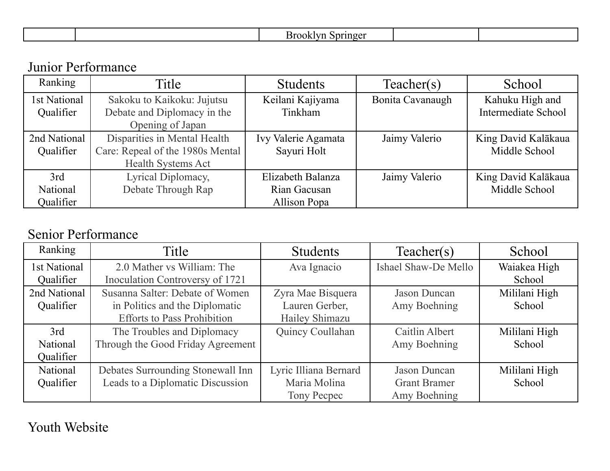| ,,<br>. . |  |  |  |  |
|-----------|--|--|--|--|
|-----------|--|--|--|--|

#### Junior Performance

| Ranking      | Title                            | <b>Students</b>     | Teacher(s)       | School                     |
|--------------|----------------------------------|---------------------|------------------|----------------------------|
| 1st National | Sakoku to Kaikoku: Jujutsu       | Keilani Kajiyama    | Bonita Cavanaugh | Kahuku High and            |
| Qualifier    | Debate and Diplomacy in the      | Tinkham             |                  | <b>Intermediate School</b> |
|              | Opening of Japan                 |                     |                  |                            |
| 2nd National | Disparities in Mental Health     | Ivy Valerie Agamata | Jaimy Valerio    | King David Kalākaua        |
| Qualifier    | Care: Repeal of the 1980s Mental | Sayuri Holt         |                  | Middle School              |
|              | <b>Health Systems Act</b>        |                     |                  |                            |
| 3rd          | Lyrical Diplomacy,               | Elizabeth Balanza   | Jaimy Valerio    | King David Kalākaua        |
| National     | Debate Through Rap               | Rian Gacusan        |                  | Middle School              |
| Qualifier    |                                  | <b>Allison Popa</b> |                  |                            |

#### Senior Performance

| Ranking      | Title                              | <b>Students</b>       | Teacher(s)           | School        |
|--------------|------------------------------------|-----------------------|----------------------|---------------|
| 1st National | 2.0 Mather vs William: The         | Ava Ignacio           | Ishael Shaw-De Mello | Waiakea High  |
| Qualifier    | Inoculation Controversy of 1721    |                       |                      | School        |
| 2nd National | Susanna Salter: Debate of Women    | Zyra Mae Bisquera     | <b>Jason Duncan</b>  | Mililani High |
| Qualifier    | in Politics and the Diplomatic     | Lauren Gerber,        | Amy Boehning         | School        |
|              | <b>Efforts to Pass Prohibition</b> | Hailey Shimazu        |                      |               |
| 3rd          | The Troubles and Diplomacy         | Quincy Coullahan      | Caitlin Albert       | Mililani High |
| National     | Through the Good Friday Agreement  |                       | Amy Boehning         | School        |
| Qualifier    |                                    |                       |                      |               |
| National     | Debates Surrounding Stonewall Inn  | Lyric Illiana Bernard | <b>Jason Duncan</b>  | Mililani High |
| Qualifier    | Leads to a Diplomatic Discussion   | Maria Molina          | <b>Grant Bramer</b>  | School        |
|              |                                    | Tony Pecpec           | Amy Boehning         |               |

Youth Website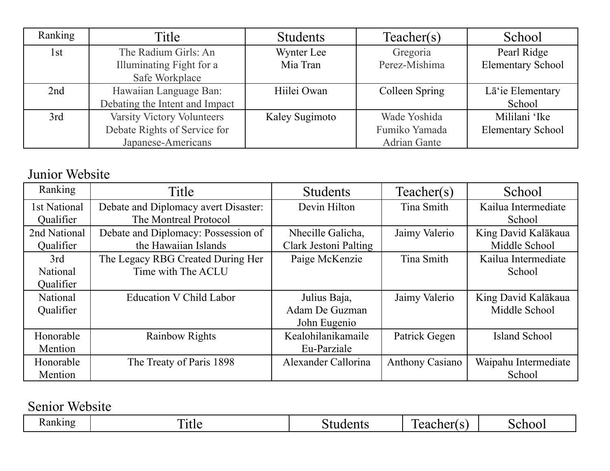| Ranking | Title                          | <b>Students</b> | Teacher(s)          | School                   |
|---------|--------------------------------|-----------------|---------------------|--------------------------|
| 1st     | The Radium Girls: An           | Wynter Lee      | Gregoria            | Pearl Ridge              |
|         | Illuminating Fight for a       | Mia Tran        | Perez-Mishima       | <b>Elementary School</b> |
|         | Safe Workplace                 |                 |                     |                          |
| 2nd     | Hawaiian Language Ban:         | Hiilei Owan     | Colleen Spring      | Lā'ie Elementary         |
|         | Debating the Intent and Impact |                 |                     | School                   |
| 3rd     | Varsity Victory Volunteers     | Kaley Sugimoto  | Wade Yoshida        | Mililani 'Ike            |
|         | Debate Rights of Service for   |                 | Fumiko Yamada       | <b>Elementary School</b> |
|         | Japanese-Americans             |                 | <b>Adrian Gante</b> |                          |

#### Junior Website

| Ranking      | Title                                | <b>Students</b>       | Teacher(s)             | School               |
|--------------|--------------------------------------|-----------------------|------------------------|----------------------|
| 1st National | Debate and Diplomacy avert Disaster: | Devin Hilton          | Tina Smith             | Kailua Intermediate  |
| Qualifier    | The Montreal Protocol                |                       |                        | School               |
| 2nd National | Debate and Diplomacy: Possession of  | Nhecille Galicha,     | Jaimy Valerio          | King David Kalākaua  |
| Qualifier    | the Hawaiian Islands                 | Clark Jestoni Palting |                        | Middle School        |
| 3rd          | The Legacy RBG Created During Her    | Paige McKenzie        | Tina Smith             | Kailua Intermediate  |
| National     | Time with The ACLU                   |                       |                        | School               |
| Qualifier    |                                      |                       |                        |                      |
| National     | Education V Child Labor              | Julius Baja,          | Jaimy Valerio          | King David Kalākaua  |
| Qualifier    |                                      | Adam De Guzman        |                        | Middle School        |
|              |                                      | John Eugenio          |                        |                      |
| Honorable    | <b>Rainbow Rights</b>                | Kealohilanikamaile    | Patrick Gegen          | Island School        |
| Mention      |                                      | Eu-Parziale           |                        |                      |
| Honorable    | The Treaty of Paris 1898             | Alexander Callorina   | <b>Anthony Casiano</b> | Waipahu Intermediate |
| Mention      |                                      |                       |                        | School               |

Senior Website

| - | <b>m</b><br>TIMA | ` WHL. | $\mathbf{r}$ | . . |
|---|------------------|--------|--------------|-----|
|---|------------------|--------|--------------|-----|